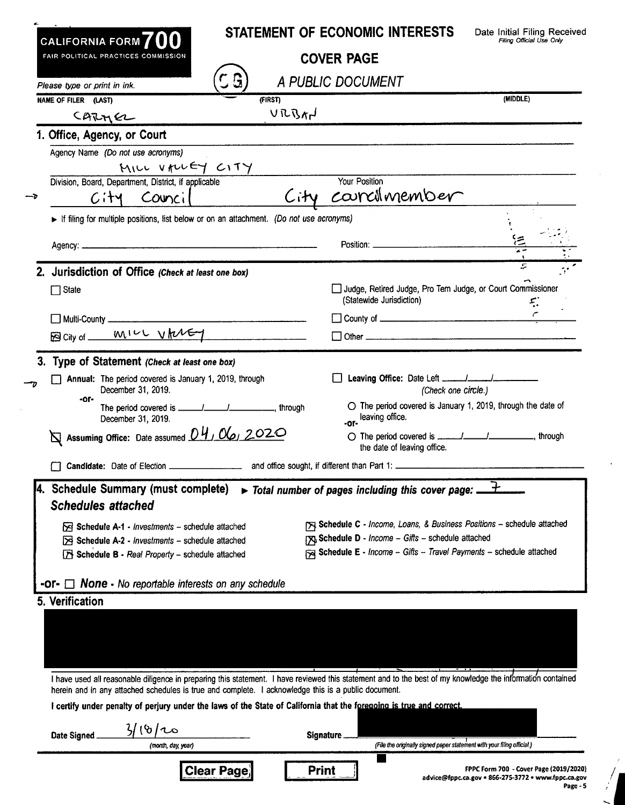| <b>COVER PAGE</b><br>A PUBLIC DOCUMENT<br>Your Position<br>City courcilmember<br>If filing for multiple positions, list below or on an attachment. (Do not use acronyms)<br>Position: _____________________<br>Judge, Retired Judge, Pro Tem Judge, or Court Commissioner<br>(Statewide Jurisdiction) | Filing Official Use Only<br>(MIDDLE)<br>$\mathfrak{L}$                                                                                                                                                                                                                                                                                                                                                                                                                                                                                                                                                                                                                                                                                                                                          |
|-------------------------------------------------------------------------------------------------------------------------------------------------------------------------------------------------------------------------------------------------------------------------------------------------------|-------------------------------------------------------------------------------------------------------------------------------------------------------------------------------------------------------------------------------------------------------------------------------------------------------------------------------------------------------------------------------------------------------------------------------------------------------------------------------------------------------------------------------------------------------------------------------------------------------------------------------------------------------------------------------------------------------------------------------------------------------------------------------------------------|
|                                                                                                                                                                                                                                                                                                       |                                                                                                                                                                                                                                                                                                                                                                                                                                                                                                                                                                                                                                                                                                                                                                                                 |
|                                                                                                                                                                                                                                                                                                       |                                                                                                                                                                                                                                                                                                                                                                                                                                                                                                                                                                                                                                                                                                                                                                                                 |
|                                                                                                                                                                                                                                                                                                       |                                                                                                                                                                                                                                                                                                                                                                                                                                                                                                                                                                                                                                                                                                                                                                                                 |
|                                                                                                                                                                                                                                                                                                       |                                                                                                                                                                                                                                                                                                                                                                                                                                                                                                                                                                                                                                                                                                                                                                                                 |
|                                                                                                                                                                                                                                                                                                       |                                                                                                                                                                                                                                                                                                                                                                                                                                                                                                                                                                                                                                                                                                                                                                                                 |
|                                                                                                                                                                                                                                                                                                       |                                                                                                                                                                                                                                                                                                                                                                                                                                                                                                                                                                                                                                                                                                                                                                                                 |
|                                                                                                                                                                                                                                                                                                       |                                                                                                                                                                                                                                                                                                                                                                                                                                                                                                                                                                                                                                                                                                                                                                                                 |
|                                                                                                                                                                                                                                                                                                       |                                                                                                                                                                                                                                                                                                                                                                                                                                                                                                                                                                                                                                                                                                                                                                                                 |
|                                                                                                                                                                                                                                                                                                       |                                                                                                                                                                                                                                                                                                                                                                                                                                                                                                                                                                                                                                                                                                                                                                                                 |
|                                                                                                                                                                                                                                                                                                       |                                                                                                                                                                                                                                                                                                                                                                                                                                                                                                                                                                                                                                                                                                                                                                                                 |
|                                                                                                                                                                                                                                                                                                       |                                                                                                                                                                                                                                                                                                                                                                                                                                                                                                                                                                                                                                                                                                                                                                                                 |
|                                                                                                                                                                                                                                                                                                       |                                                                                                                                                                                                                                                                                                                                                                                                                                                                                                                                                                                                                                                                                                                                                                                                 |
|                                                                                                                                                                                                                                                                                                       |                                                                                                                                                                                                                                                                                                                                                                                                                                                                                                                                                                                                                                                                                                                                                                                                 |
|                                                                                                                                                                                                                                                                                                       |                                                                                                                                                                                                                                                                                                                                                                                                                                                                                                                                                                                                                                                                                                                                                                                                 |
|                                                                                                                                                                                                                                                                                                       |                                                                                                                                                                                                                                                                                                                                                                                                                                                                                                                                                                                                                                                                                                                                                                                                 |
|                                                                                                                                                                                                                                                                                                       |                                                                                                                                                                                                                                                                                                                                                                                                                                                                                                                                                                                                                                                                                                                                                                                                 |
|                                                                                                                                                                                                                                                                                                       |                                                                                                                                                                                                                                                                                                                                                                                                                                                                                                                                                                                                                                                                                                                                                                                                 |
|                                                                                                                                                                                                                                                                                                       |                                                                                                                                                                                                                                                                                                                                                                                                                                                                                                                                                                                                                                                                                                                                                                                                 |
|                                                                                                                                                                                                                                                                                                       |                                                                                                                                                                                                                                                                                                                                                                                                                                                                                                                                                                                                                                                                                                                                                                                                 |
| (Check one circle.)                                                                                                                                                                                                                                                                                   |                                                                                                                                                                                                                                                                                                                                                                                                                                                                                                                                                                                                                                                                                                                                                                                                 |
| $\bigcirc$ The period covered is January 1, 2019, through the date of<br>-or-leaving office.                                                                                                                                                                                                          |                                                                                                                                                                                                                                                                                                                                                                                                                                                                                                                                                                                                                                                                                                                                                                                                 |
| the date of leaving office.                                                                                                                                                                                                                                                                           |                                                                                                                                                                                                                                                                                                                                                                                                                                                                                                                                                                                                                                                                                                                                                                                                 |
|                                                                                                                                                                                                                                                                                                       |                                                                                                                                                                                                                                                                                                                                                                                                                                                                                                                                                                                                                                                                                                                                                                                                 |
|                                                                                                                                                                                                                                                                                                       |                                                                                                                                                                                                                                                                                                                                                                                                                                                                                                                                                                                                                                                                                                                                                                                                 |
|                                                                                                                                                                                                                                                                                                       |                                                                                                                                                                                                                                                                                                                                                                                                                                                                                                                                                                                                                                                                                                                                                                                                 |
|                                                                                                                                                                                                                                                                                                       |                                                                                                                                                                                                                                                                                                                                                                                                                                                                                                                                                                                                                                                                                                                                                                                                 |
|                                                                                                                                                                                                                                                                                                       |                                                                                                                                                                                                                                                                                                                                                                                                                                                                                                                                                                                                                                                                                                                                                                                                 |
|                                                                                                                                                                                                                                                                                                       |                                                                                                                                                                                                                                                                                                                                                                                                                                                                                                                                                                                                                                                                                                                                                                                                 |
|                                                                                                                                                                                                                                                                                                       |                                                                                                                                                                                                                                                                                                                                                                                                                                                                                                                                                                                                                                                                                                                                                                                                 |
|                                                                                                                                                                                                                                                                                                       |                                                                                                                                                                                                                                                                                                                                                                                                                                                                                                                                                                                                                                                                                                                                                                                                 |
|                                                                                                                                                                                                                                                                                                       |                                                                                                                                                                                                                                                                                                                                                                                                                                                                                                                                                                                                                                                                                                                                                                                                 |
|                                                                                                                                                                                                                                                                                                       |                                                                                                                                                                                                                                                                                                                                                                                                                                                                                                                                                                                                                                                                                                                                                                                                 |
|                                                                                                                                                                                                                                                                                                       |                                                                                                                                                                                                                                                                                                                                                                                                                                                                                                                                                                                                                                                                                                                                                                                                 |
|                                                                                                                                                                                                                                                                                                       |                                                                                                                                                                                                                                                                                                                                                                                                                                                                                                                                                                                                                                                                                                                                                                                                 |
|                                                                                                                                                                                                                                                                                                       |                                                                                                                                                                                                                                                                                                                                                                                                                                                                                                                                                                                                                                                                                                                                                                                                 |
|                                                                                                                                                                                                                                                                                                       |                                                                                                                                                                                                                                                                                                                                                                                                                                                                                                                                                                                                                                                                                                                                                                                                 |
|                                                                                                                                                                                                                                                                                                       |                                                                                                                                                                                                                                                                                                                                                                                                                                                                                                                                                                                                                                                                                                                                                                                                 |
|                                                                                                                                                                                                                                                                                                       |                                                                                                                                                                                                                                                                                                                                                                                                                                                                                                                                                                                                                                                                                                                                                                                                 |
|                                                                                                                                                                                                                                                                                                       | > Total number of pages including this cover page: _<br>[X] Schedule C - Income, Loans, & Business Positions - schedule attached<br>Schedule D - Income - Gifts - schedule attached<br>Schedule E - Income - Gifts - Travel Payments - schedule attached<br>I have used all reasonable diligence in preparing this statement. I have reviewed this statement and to the best of my knowledge the information contained<br>herein and in any attached schedules is true and complete. I acknowledge this is a public document.<br>I certify under penalty of perjury under the laws of the State of California that the foregoing is true and correct.<br>Signature<br>(File the onginally signed paper statement with your filing official.)<br>Print<br>FPPC Form 700 - Cover Page (2019/2020) |

| FPPC Form 700 - Cover Page (2019/2020)       |  |
|----------------------------------------------|--|
| fppc.ca.gov = 866-275-3772 = www.fppc.ca.gov |  |
| Page - 5                                     |  |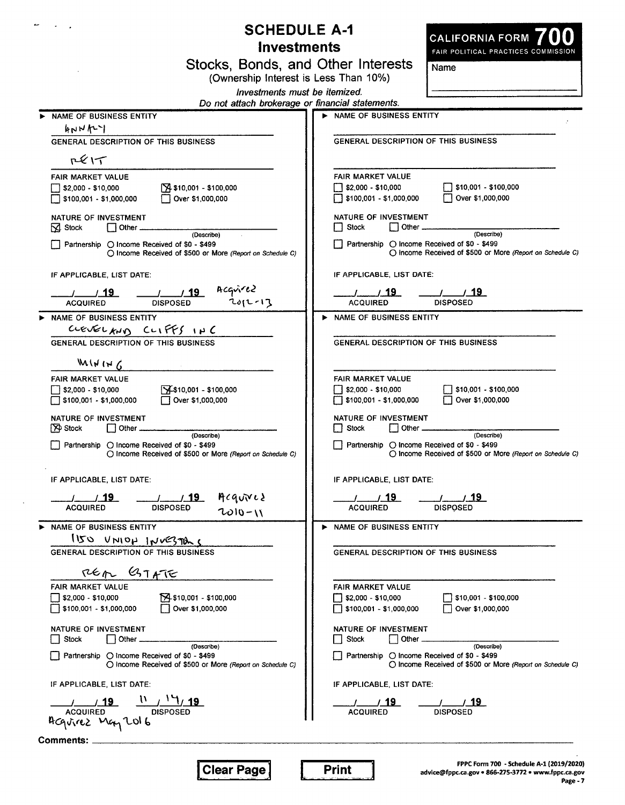|                                                                                                                           | <b>SCHEDULE A-1</b><br>CALIFORNIA FORM<br><b>Investments</b>                                                       |
|---------------------------------------------------------------------------------------------------------------------------|--------------------------------------------------------------------------------------------------------------------|
|                                                                                                                           | FAIR POLITICAL PRACTICES COMMISSION<br>Stocks, Bonds, and Other Interests                                          |
|                                                                                                                           | Name<br>(Ownership Interest is Less Than 10%)                                                                      |
|                                                                                                                           | Investments must be itemized.                                                                                      |
|                                                                                                                           | Do not attach brokerage or financial statements.                                                                   |
| NAME OF BUSINESS ENTITY<br>hNML                                                                                           | NAME OF BUSINESS ENTITY                                                                                            |
| <b>GENERAL DESCRIPTION OF THIS BUSINESS</b>                                                                               | <b>GENERAL DESCRIPTION OF THIS BUSINESS</b>                                                                        |
| R(X)                                                                                                                      |                                                                                                                    |
|                                                                                                                           | FAIR MARKET VALUE                                                                                                  |
| <b>FAIR MARKET VALUE</b><br>$74$ \$10,001 - \$100,000<br>32,000 - \$10,000<br>Over \$1,000,000<br>\$100,001 - \$1,000,000 | $$2,000 - $10,000$<br>\$10,001 - \$100,000<br>Over \$1,000,000<br>\$100,001 - \$1,000,000                          |
| NATURE OF INVESTMENT<br>$\overline{\phantom{a}}$ Other $\overline{\phantom{a}}$<br>M Stock                                | NATURE OF INVESTMENT<br>$\Box$ Other $\Box$<br>Stock<br>(Describe)                                                 |
| (Describe)<br>Partnership ○ Income Received of \$0 - \$499<br>○ Income Received of \$500 or More (Report on Schedule C)   | Partnership ◯ Income Received of \$0 - \$499<br>O income Received of \$500 or More (Report on Schedule C)          |
| IF APPLICABLE, LIST DATE:                                                                                                 | IF APPLICABLE, LIST DATE:                                                                                          |
| 19 19 19 Acquired 19 Acquired<br>Acquired 19 DISPOSED 2012-13<br><b>ACQUIRED</b>                                          | $\sim$ $/$ $/$ 19<br>7719<br><b>DISPOSED</b><br><b>ACQUIRED</b>                                                    |
| NAME OF BUSINESS ENTITY                                                                                                   | NAME OF BUSINESS ENTITY                                                                                            |
| CLEVELAND CLIFFS INC<br>GENERAL DESCRIPTION OF THIS BUSINESS                                                              | <b>GENERAL DESCRIPTION OF THIS BUSINESS</b>                                                                        |
|                                                                                                                           |                                                                                                                    |
| $M(N \mid N \mid C)$                                                                                                      |                                                                                                                    |
| FAIR MARKET VALUE<br>$74$ \$10,001 - \$100,000                                                                            | <b>FAIR MARKET VALUE</b><br>\$2,000 - \$10,000<br>\$10,001 - \$100,000                                             |
| \$2,000 - \$10,000<br>Over \$1,000,000<br>\$100,001 - \$1,000,000                                                         | \$100,001 - \$1,000,000<br>Over \$1,000,000                                                                        |
| NATURE OF INVESTMENT                                                                                                      | NATURE OF INVESTMENT                                                                                               |
| $\Box$ Other $\Box$<br><b>P</b> Stock<br>(Describe)                                                                       | $\Box$ Other $\Box$<br>Stock<br>(Describe)                                                                         |
| Partnership ○ Income Received of \$0 - \$499<br>○ Income Received of \$500 or More (Report on Schedule C)                 | Partnership ◯ Income Received of \$0 - \$499<br>$\bigcirc$ Income Received of \$500 or More (Report on Schedule C) |
| IF APPLICABLE, LIST DATE:                                                                                                 | IF APPLICABLE, LIST DATE:                                                                                          |
| Acquired<br><u>/ 19</u>                                                                                                   | <u>/ 19</u><br>/ 19                                                                                                |
| <b>DISPOSED</b><br><b>ACQUIRED</b><br>$7010 - 11$                                                                         | <b>DISPOSED</b><br><b>ACQUIRED</b>                                                                                 |
| NAME OF BUSINESS ENTITY                                                                                                   | NAME OF BUSINESS ENTITY                                                                                            |
| $150$ $VNOH$ $1NVE3700$                                                                                                   |                                                                                                                    |
| <b>GENERAL DESCRIPTION OF THIS BUSINESS</b>                                                                               | <b>GENERAL DESCRIPTION OF THIS BUSINESS</b>                                                                        |
| REA BIATE                                                                                                                 |                                                                                                                    |
| <b>FAIR MARKET VALUE</b>                                                                                                  | <b>FAIR MARKET VALUE</b>                                                                                           |
| 10,001 - \$100,000<br>32,000 - \$10,000                                                                                   | $\sqrt{510,001}$ - \$100,000<br>\$2,000 - \$10,000                                                                 |
| Over \$1,000,000<br>\$100,001 - \$1,000,000                                                                               | \$100,001 - \$1,000,000<br>Over \$1,000,000                                                                        |
| NATURE OF INVESTMENT                                                                                                      | NATURE OF INVESTMENT                                                                                               |
| $\Box$ Other $\_$<br><b>Stock</b><br>(Describe)                                                                           | $\Box$ Other $\Box$<br><b>Stock</b><br>(Describe)                                                                  |
| Partnership ○ Income Received of \$0 - \$499<br>○ income Received of \$500 or More (Report on Schedule C)                 | Partnership O Income Received of \$0 - \$499<br>O Income Received of \$500 or More (Report on Schedule C)          |
| IF APPLICABLE, LIST DATE:                                                                                                 | IF APPLICABLE, LIST DATE:                                                                                          |
| $\frac{1}{\sqrt{19}}$ $\frac{1}{\sqrt{11}}$ $\frac{1}{\sqrt{11}}$ $\frac{1}{\sqrt{11}}$                                   |                                                                                                                    |
| Acquirez May 2016                                                                                                         | <b>DISPOSED</b><br><b>ACQUIRED</b>                                                                                 |
|                                                                                                                           |                                                                                                                    |
| Comments: __________                                                                                                      |                                                                                                                    |
|                                                                                                                           | FPPC Form 700 - Schedule A-1 (2019/2020)<br><b>Clear Page</b>                                                      |

 $\sim 10^7$ 

FPPC Form 700 - Schedule A-1 (2019/2020)<br>advice@fppc.ca.gov • 866-275-3772 • www.fppc.ca.gov<br>Page - 7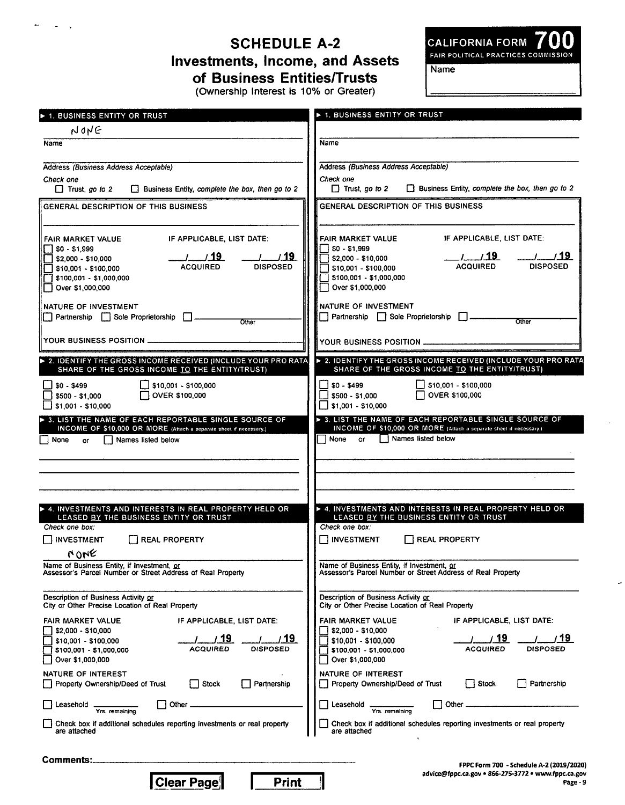# **SCHEDULE A-2 Investments, Income, and Assets** of Business Entities/Trusts

 $\ddot{\phantom{1}}$ 

CALIFORNIA FORM 700

**Name** 

(Ownership Interest is 10% or Greater)

| <b>1. BUSINESS ENTITY OR TRUST</b>                                                                                                                                                                                                | <b>E</b> 1. BUSINESS ENTITY OR TRUST                                                                                                                                                                        |
|-----------------------------------------------------------------------------------------------------------------------------------------------------------------------------------------------------------------------------------|-------------------------------------------------------------------------------------------------------------------------------------------------------------------------------------------------------------|
| NONE                                                                                                                                                                                                                              |                                                                                                                                                                                                             |
| Name                                                                                                                                                                                                                              | Name                                                                                                                                                                                                        |
| Address (Business Address Acceptable)<br>Check one<br>$\Box$ Business Entity, complete the box, then go to 2<br>$\Box$ Trust, go to 2                                                                                             | Address (Business Address Acceptable)<br>Check one<br>□ Trust, go to 2 □ Business Entity, complete the box, then go to 2                                                                                    |
| GENERAL DESCRIPTION OF THIS BUSINESS                                                                                                                                                                                              | GENERAL DESCRIPTION OF THIS BUSINESS                                                                                                                                                                        |
| IF APPLICABLE, LIST DATE:                                                                                                                                                                                                         | IF APPLICABLE, LIST DATE:                                                                                                                                                                                   |
| FAIR MARKET VALUE                                                                                                                                                                                                                 | FAIR MARKET VALUE                                                                                                                                                                                           |
| $\Box$ \$0 - \$1,999                                                                                                                                                                                                              | <b>SO - \$1,999</b>                                                                                                                                                                                         |
|                                                                                                                                                                                                                                   |                                                                                                                                                                                                             |
| $1 - 19$                                                                                                                                                                                                                          | $/$ $/$ 19                                                                                                                                                                                                  |
|                                                                                                                                                                                                                                   | S2,000 - \$10,000                                                                                                                                                                                           |
| <b>ACQUIRED</b>                                                                                                                                                                                                                   | <b>DISPOSED</b>                                                                                                                                                                                             |
| <b>DISPOSED</b>                                                                                                                                                                                                                   | <b>ACQUIRED</b>                                                                                                                                                                                             |
| 510,001 - \$100,000                                                                                                                                                                                                               | 310,001 - \$100,000                                                                                                                                                                                         |
| \$100,001 - \$1,000,000                                                                                                                                                                                                           | 5100,001 - \$1,000,000 }                                                                                                                                                                                    |
| Over \$1,000,000                                                                                                                                                                                                                  | Over \$1,000,000                                                                                                                                                                                            |
| <b>NATURE OF INVESTMENT</b>                                                                                                                                                                                                       | NATURE OF INVESTMENT                                                                                                                                                                                        |
| Partnership   Sole Proprietorship   L                                                                                                                                                                                             | $\Box$ Partnership $\Box$ Sole Proprietorship $\Box$                                                                                                                                                        |
| Other                                                                                                                                                                                                                             | Other                                                                                                                                                                                                       |
| YOUR BUSINESS POSITION ______________________                                                                                                                                                                                     |                                                                                                                                                                                                             |
| > 2. IDENTIFY THE GROSS INCOME RECEIVED (INCLUDE YOUR PRO RATA)                                                                                                                                                                   | ▶ 2. IDENTIFY THE GROSS INCOME RECEIVED (INCLUDE YOUR PRO RATA                                                                                                                                              |
| SHARE OF THE GROSS INCOME TO THE ENTITY/TRUST)                                                                                                                                                                                    | SHARE OF THE GROSS INCOME TO THE ENTITY/TRUST)                                                                                                                                                              |
| $\Box$ \$10,001 - \$100,000                                                                                                                                                                                                       | $\Box$ \$10,001 - \$100,000                                                                                                                                                                                 |
| $$0 - $499$                                                                                                                                                                                                                       | 50 - \$499                                                                                                                                                                                                  |
| OVER \$100,000                                                                                                                                                                                                                    | OVER \$100,000                                                                                                                                                                                              |
| $\frac{1}{2}$ \$500 - \$1,000                                                                                                                                                                                                     | $5500 - 1000$                                                                                                                                                                                               |
| ∫ \$1,001 - \$10,000                                                                                                                                                                                                              | $51,001 - $10,000$                                                                                                                                                                                          |
| > 3. LIST THE NAME OF EACH REPORTABLE SINGLE SOURCE OF                                                                                                                                                                            | > 3. LIST THE NAME OF EACH REPORTABLE SINGLE SOURCE OF                                                                                                                                                      |
| INCOME OF \$10,000 OR MORE (Attach a separate sheet if necessary.)                                                                                                                                                                | INCOME OF \$10,000 OR MORE (Attach a separate sheet if necessary.)                                                                                                                                          |
| ∣ I None                                                                                                                                                                                                                          | Names listed below                                                                                                                                                                                          |
| Names listed below                                                                                                                                                                                                                | None                                                                                                                                                                                                        |
| <b>or</b>                                                                                                                                                                                                                         | <b>or</b>                                                                                                                                                                                                   |
| $\triangleright$ 4. INVESTMENTS AND INTERESTS IN REAL PROPERTY HELD OR<br>LEASED BY THE BUSINESS ENTITY OR TRUST<br>Check one box:<br><b>NVESTMENT</b><br>I I REAL PROPERTY<br>MONE<br>Name of Business Entity, if Investment, or | A INVESTMENTS AND INTERESTS IN REAL PROPERTY HELD OR<br>LEASED BY THE BUSINESS ENTITY OR TRUST<br>Check one box:<br>$\Box$ investment<br><b>NEAL PROPERTY</b><br>Name of Business Entity, if Investment, or |
| Assessor's Parcel Number or Street Address of Real Property                                                                                                                                                                       | Assessor's Parcel Number or Street Address of Real Property                                                                                                                                                 |
| Description of Business Activity or                                                                                                                                                                                               | Description of Business Activity or                                                                                                                                                                         |
| City or Other Precise Location of Real Property                                                                                                                                                                                   | City or Other Precise Location of Real Property                                                                                                                                                             |
| FAIR MARKET VALUE                                                                                                                                                                                                                 | FAIR MARKET VALUE                                                                                                                                                                                           |
| IF APPLICABLE, LIST DATE:                                                                                                                                                                                                         | IF APPLICABLE, LIST DATE:                                                                                                                                                                                   |
| \$2,000 - \$10,000                                                                                                                                                                                                                | \$2,000 - \$10,000                                                                                                                                                                                          |
| -19                                                                                                                                                                                                                               | 19                                                                                                                                                                                                          |
| / 19                                                                                                                                                                                                                              | 19.                                                                                                                                                                                                         |
| \$10,001 - \$100,000                                                                                                                                                                                                              | \$10,001 - \$100,000                                                                                                                                                                                        |
| <b>DISPOSED</b>                                                                                                                                                                                                                   | ACQUIRED                                                                                                                                                                                                    |
| ACQUIRED                                                                                                                                                                                                                          | DISPOSED                                                                                                                                                                                                    |
| \$100,001 - \$1,000,000                                                                                                                                                                                                           | \$100,001 - \$1,000,000                                                                                                                                                                                     |
| Over \$1,000,000                                                                                                                                                                                                                  | Over \$1,000,000                                                                                                                                                                                            |
| NATURE OF INTEREST                                                                                                                                                                                                                | NATURE OF INTEREST                                                                                                                                                                                          |
| Partnership                                                                                                                                                                                                                       | Property Ownership/Deed of Trust                                                                                                                                                                            |
| Property Ownership/Deed of Trust                                                                                                                                                                                                  | Stock                                                                                                                                                                                                       |
| Stock                                                                                                                                                                                                                             | Partnership                                                                                                                                                                                                 |
| Other                                                                                                                                                                                                                             | Other                                                                                                                                                                                                       |
| Leasehold                                                                                                                                                                                                                         | Leasehold                                                                                                                                                                                                   |
| Yrs, remaining                                                                                                                                                                                                                    | Yrs. remaining                                                                                                                                                                                              |
| Check box if additional schedules reporting investments or real property                                                                                                                                                          | Check box if additional schedules reporting investments or real property                                                                                                                                    |
| are attached                                                                                                                                                                                                                      | are attached                                                                                                                                                                                                |
| Comments:                                                                                                                                                                                                                         |                                                                                                                                                                                                             |

**Print** 

┦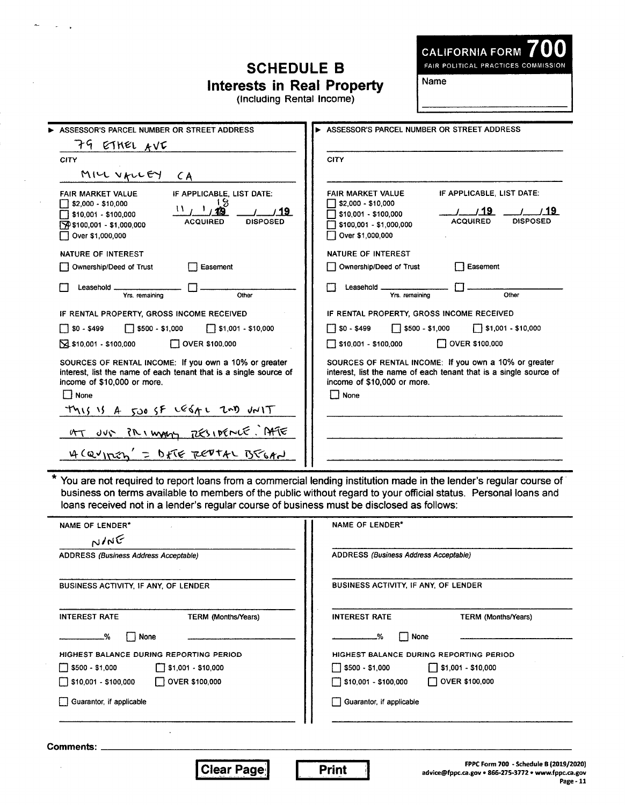# **SCHEDULE B Interests in Real Property**<br>(Including Rental Income)

**CALIFORNIA FORM** 

FAIR POLITICAL PRACTICES COMMISSION

Name

| ASSESSOR'S PARCEL NUMBER OR STREET ADDRESS                                                                                                                                                                | ASSESSOR'S PARCEL NUMBER OR STREET ADDRESS                                                                                                                                                     |
|-----------------------------------------------------------------------------------------------------------------------------------------------------------------------------------------------------------|------------------------------------------------------------------------------------------------------------------------------------------------------------------------------------------------|
| 79 ETHEL AVE                                                                                                                                                                                              |                                                                                                                                                                                                |
| CITY                                                                                                                                                                                                      | <b>CITY</b>                                                                                                                                                                                    |
| MILL VALLEY CA                                                                                                                                                                                            |                                                                                                                                                                                                |
| IF APPLICABLE, LIST DATE:<br><b>FAIR MARKET VALUE</b><br>.8<br>\$2,000 - \$10,000<br>19.<br>\$10,001 - \$100,000<br><b>DISPOSED</b><br><b>ACQUIRED</b><br>190 \$100,001 - \$1,000,000<br>Over \$1,000,000 | IF APPLICABLE, LIST DATE:<br><b>FAIR MARKET VALUE</b><br>\$2,000 - \$10,000<br>19<br>\$10,001 - \$100,000<br><b>DISPOSED</b><br><b>ACQUIRED</b><br>\$100,001 - \$1,000,000<br>Over \$1,000,000 |
| NATURE OF INTEREST                                                                                                                                                                                        | NATURE OF INTEREST                                                                                                                                                                             |
| Ownership/Deed of Trust<br>Easement                                                                                                                                                                       | Ownership/Deed of Trust<br>Easement                                                                                                                                                            |
| Leasehold<br>Yrs. remaining<br>Other                                                                                                                                                                      | Leasehold .<br>Yrs, remaining<br>Other                                                                                                                                                         |
| IF RENTAL PROPERTY, GROSS INCOME RECEIVED                                                                                                                                                                 | IF RENTAL PROPERTY, GROSS INCOME RECEIVED                                                                                                                                                      |
| $\Box$ \$500 - \$1,000<br>$\Box$ \$0 - \$499<br>$\Box$ \$1,001 - \$10,000                                                                                                                                 | $\Box$ \$0 - \$499<br>$\Box$ \$500 - \$1,000<br>$\sqrt{ }$ \$1,001 - \$10,000                                                                                                                  |
| $\sqrt{2}$ \$10,001 - \$100,000<br>OVER \$100,000                                                                                                                                                         | <b>NOVER \$100,000</b><br>510,001 - \$100,000                                                                                                                                                  |
| SOURCES OF RENTAL INCOME: If you own a 10% or greater<br>interest, list the name of each tenant that is a single source of<br>income of \$10,000 or more.<br>    None                                     | SOURCES OF RENTAL INCOME: If you own a 10% or greater<br>interest, list the name of each tenant that is a single source of<br>income of \$10,000 or more.<br>│  None                           |
| This is A 500 SF LESAL 2ND JNIT                                                                                                                                                                           |                                                                                                                                                                                                |
| AT JUS PRIMARY TESIDENCE. AFTE                                                                                                                                                                            |                                                                                                                                                                                                |
| 4 CQUITION' = DETE REPTAL BEGAN                                                                                                                                                                           |                                                                                                                                                                                                |

 $\overline{\ast}$ You are not required to report loans from a commercial lending institution made in the lender's regular course of business on terms available to members of the public without regard to your official status. Personal loans and loans received not in a lender's regular course of business must be disclosed as follows:

L.

| ADDRESS (Business Address Acceptable)                                     |  |  |  |
|---------------------------------------------------------------------------|--|--|--|
|                                                                           |  |  |  |
|                                                                           |  |  |  |
| BUSINESS ACTIVITY, IF ANY, OF LENDER                                      |  |  |  |
| <b>INTEREST RATE</b><br><b>TERM (Months/Years)</b>                        |  |  |  |
| None<br>-%<br>$\mathbf{I}$                                                |  |  |  |
| HIGHEST BALANCE DURING REPORTING PERIOD                                   |  |  |  |
| $\begin{bmatrix} 0 & 0 & 0 \\ 0 & 0 & 0 \end{bmatrix}$ \$1,001 - \$10,000 |  |  |  |
| □ \$10,001 - \$100,000   □ OVER \$100,000                                 |  |  |  |
| Guarantor, if applicable                                                  |  |  |  |
|                                                                           |  |  |  |
|                                                                           |  |  |  |

Page - 11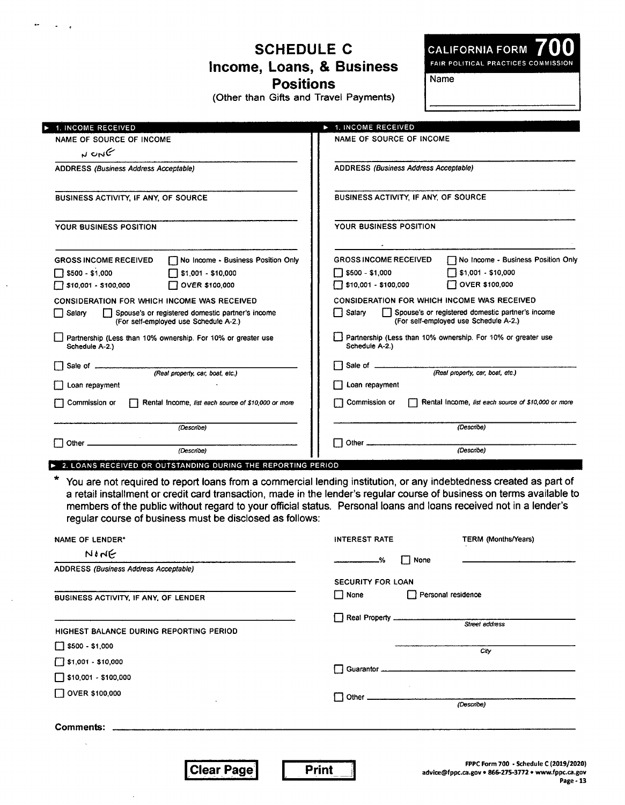## **SCHEDULE C Income, Loans, & Business Positions**

**(Other than Gifts and Travel Payments)** 

**CALIFORNIA FORM 700**  FAIR POLITICAL PRACTICES COMMISSION

**Name** 

| 1. INCOME RECEIVED                                                                                         | 1. INCOME RECEIVED                                                                                  |  |  |
|------------------------------------------------------------------------------------------------------------|-----------------------------------------------------------------------------------------------------|--|--|
| <b>NAME OF SOURCE OF INCOME</b>                                                                            | NAME OF SOURCE OF INCOME                                                                            |  |  |
| N UNG                                                                                                      |                                                                                                     |  |  |
| ADDRESS (Business Address Acceptable)                                                                      | ADDRESS (Business Address Acceptable)                                                               |  |  |
| <b>BUSINESS ACTIVITY, IF ANY, OF SOURCE</b>                                                                | <b>BUSINESS ACTIVITY, IF ANY, OF SOURCE</b>                                                         |  |  |
| YOUR BUSINESS POSITION                                                                                     | YOUR BUSINESS POSITION                                                                              |  |  |
| No Income - Business Position Only<br><b>GROSS INCOME RECEIVED</b>                                         | No Income - Business Position Only<br><b>GROSS INCOME RECEIVED</b>                                  |  |  |
| $\Box$ \$500 - \$1,000<br>□ \$1,001 - \$10,000                                                             | $\Box$ \$1,001 - \$10,000<br>$\Box$ \$500 - \$1,000                                                 |  |  |
| $\Box$ \$10,001 - \$100,000<br>OVER \$100,000                                                              | OVER \$100,000<br>510,001 - \$100,000                                                               |  |  |
| <b>CONSIDERATION FOR WHICH INCOME WAS RECEIVED</b>                                                         | <b>CONSIDERATION FOR WHICH INCOME WAS RECEIVED</b>                                                  |  |  |
| $\Box$ Salary<br>Spouse's or registered domestic partner's income<br>(For self-employed use Schedule A-2.) | Salary<br>Spouse's or registered domestic partner's income<br>(For self-employed use Schedule A-2.) |  |  |
| Partnership (Less than 10% ownership. For 10% or greater use<br>Schedule A-2.)                             | Partnership (Less than 10% ownership. For 10% or greater use<br>Schedule A-2.)                      |  |  |
| Sale of<br>(Real property, car, boat, etc.)                                                                | Sale of (Real property, car, boat, etc.)<br>l 1                                                     |  |  |
| Loan repayment                                                                                             | Loan repayment                                                                                      |  |  |
| Rental Income, list each source of \$10,000 or more<br>Commission or                                       | Commission or<br>Rental Income, list each source of \$10,000 or more                                |  |  |
| (Describe)                                                                                                 | (Describe)                                                                                          |  |  |
| Other.<br>(Describe)                                                                                       | Other $\_\_\_\$<br>(Describe)                                                                       |  |  |

**P.** 2. LOANS RECEIVED OR OUTSTANDING DURING THE REPORTING PERIOD

\* You are not required to report loans from a commercial lending institution, or any indebtedness created as part of a retail installment or credit card transaction, made in the lender's regular course of business on terms available to members of the public without regard to your official status. Personal loans and loans received not in a lender's regular course of business must be disclosed as follows:

| <b>NAME OF LENDER*</b>                        | <b>INTEREST RATE</b>     | TERM (Months/Years)                 |
|-----------------------------------------------|--------------------------|-------------------------------------|
| NINE<br>ADDRESS (Business Address Acceptable) | None                     |                                     |
|                                               | <b>SECURITY FOR LOAN</b> |                                     |
| BUSINESS ACTIVITY, IF ANY, OF LENDER          | $\Box$ None              | Personal residence                  |
|                                               |                          | Street address                      |
| HIGHEST BALANCE DURING REPORTING PERIOD       |                          |                                     |
| $\Box$ \$500 - \$1,000                        |                          | City                                |
| $\Box$ \$1,001 - \$10,000                     |                          |                                     |
| $\sqrt{ }$ \$10,001 - \$100,000               |                          |                                     |
| $\Box$ OVER \$100,000                         |                          |                                     |
| $\cdot$                                       |                          | (Describe)                          |
|                                               |                          |                                     |
|                                               |                          |                                     |
|                                               |                          | EDDC Form 700 - Schodulo C (2019/2) |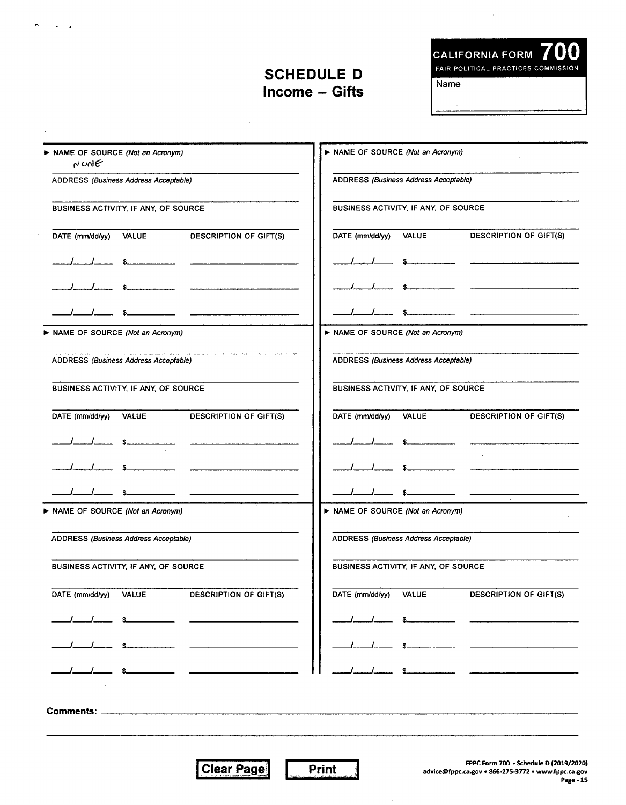#### **SCHEDULE D Income — Gifts**

 $\sim$ 

 $\sim 10^{-1}$ 

 $\sim$ 

**CALIFORNIA FORM 700** 

FAIR POLITICAL PRACTICES COMMISSION

Name

| NONE                                  | > NAME OF SOURCE (Not an Acronym) |                                              | NAME OF SOURCE (Not an Acronym)       |              |                                                                                                                                                                                                                                                                                                                                                                                                                                                                                        |
|---------------------------------------|-----------------------------------|----------------------------------------------|---------------------------------------|--------------|----------------------------------------------------------------------------------------------------------------------------------------------------------------------------------------------------------------------------------------------------------------------------------------------------------------------------------------------------------------------------------------------------------------------------------------------------------------------------------------|
| ADDRESS (Business Address Acceptable) |                                   | ADDRESS (Business Address Acceptable)        |                                       |              |                                                                                                                                                                                                                                                                                                                                                                                                                                                                                        |
| BUSINESS ACTIVITY, IF ANY, OF SOURCE  |                                   | BUSINESS ACTIVITY, IF ANY, OF SOURCE         |                                       |              |                                                                                                                                                                                                                                                                                                                                                                                                                                                                                        |
| DATE (mm/dd/yy) VALUE                 |                                   | <b>DESCRIPTION OF GIFT(S)</b>                | DATE (mm/dd/yy)                       | <b>VALUE</b> | <b>DESCRIPTION OF GIFT(S)</b>                                                                                                                                                                                                                                                                                                                                                                                                                                                          |
|                                       |                                   |                                              |                                       |              |                                                                                                                                                                                                                                                                                                                                                                                                                                                                                        |
|                                       |                                   |                                              |                                       |              |                                                                                                                                                                                                                                                                                                                                                                                                                                                                                        |
|                                       |                                   |                                              |                                       |              |                                                                                                                                                                                                                                                                                                                                                                                                                                                                                        |
|                                       | NAME OF SOURCE (Not an Acronym)   |                                              | NAME OF SOURCE (Not an Acronym)       |              |                                                                                                                                                                                                                                                                                                                                                                                                                                                                                        |
| ADDRESS (Business Address Acceptable) |                                   |                                              | ADDRESS (Business Address Acceptable) |              |                                                                                                                                                                                                                                                                                                                                                                                                                                                                                        |
| BUSINESS ACTIVITY, IF ANY, OF SOURCE  |                                   |                                              | BUSINESS ACTIVITY, IF ANY, OF SOURCE  |              |                                                                                                                                                                                                                                                                                                                                                                                                                                                                                        |
| DATE (mm/dd/yy) VALUE                 |                                   | DESCRIPTION OF GIFT(S)                       | DATE (mm/dd/yy)                       | <b>VALUE</b> | DESCRIPTION OF GIFT(S)                                                                                                                                                                                                                                                                                                                                                                                                                                                                 |
|                                       |                                   |                                              |                                       |              |                                                                                                                                                                                                                                                                                                                                                                                                                                                                                        |
|                                       |                                   | the control of the control of the control of |                                       |              |                                                                                                                                                                                                                                                                                                                                                                                                                                                                                        |
|                                       |                                   |                                              |                                       |              | $\sim$                                                                                                                                                                                                                                                                                                                                                                                                                                                                                 |
| NAME OF SOURCE (Not an Acronym)       |                                   |                                              | NAME OF SOURCE (Not an Acronym)       |              |                                                                                                                                                                                                                                                                                                                                                                                                                                                                                        |
| ADDRESS (Business Address Acceptable) |                                   | ADDRESS (Business Address Acceptable)        |                                       |              |                                                                                                                                                                                                                                                                                                                                                                                                                                                                                        |
| BUSINESS ACTIVITY, IF ANY, OF SOURCE  |                                   |                                              | BUSINESS ACTIVITY, IF ANY, OF SOURCE  |              |                                                                                                                                                                                                                                                                                                                                                                                                                                                                                        |
| DATE (mm/dd/yy) VALUE                 |                                   | DESCRIPTION OF GIFT(S)                       | DATE (mm/dd/yy) VALUE                 |              | DESCRIPTION OF GIFT(S)                                                                                                                                                                                                                                                                                                                                                                                                                                                                 |
|                                       |                                   |                                              |                                       |              | $\begin{array}{cccccccccccccc} \multicolumn{2}{c}{} & \multicolumn{2}{c}{} & \multicolumn{2}{c}{} & \multicolumn{2}{c}{} & \multicolumn{2}{c}{} & \multicolumn{2}{c}{} & \multicolumn{2}{c}{} & \multicolumn{2}{c}{} & \multicolumn{2}{c}{} & \multicolumn{2}{c}{} & \multicolumn{2}{c}{} & \multicolumn{2}{c}{} & \multicolumn{2}{c}{} & \multicolumn{2}{c}{} & \multicolumn{2}{c}{} & \multicolumn{2}{c}{} & \multicolumn{2}{c}{} & \multicolumn{2}{c}{} & \multicolumn{2}{c}{} & \$ |
|                                       |                                   |                                              |                                       |              | — — ————————                                                                                                                                                                                                                                                                                                                                                                                                                                                                           |
|                                       |                                   |                                              |                                       |              | $\frac{1}{s}$ $\frac{1}{s}$ $\frac{1}{s}$ $\frac{1}{s}$ $\frac{1}{s}$ $\frac{1}{s}$ $\frac{1}{s}$ $\frac{1}{s}$ $\frac{1}{s}$ $\frac{1}{s}$ $\frac{1}{s}$ $\frac{1}{s}$ $\frac{1}{s}$ $\frac{1}{s}$ $\frac{1}{s}$ $\frac{1}{s}$ $\frac{1}{s}$ $\frac{1}{s}$ $\frac{1}{s}$ $\frac{1}{s}$ $\frac{1}{s}$ $\frac{1}{s}$                                                                                                                                                                    |
|                                       |                                   |                                              |                                       |              |                                                                                                                                                                                                                                                                                                                                                                                                                                                                                        |
|                                       |                                   |                                              |                                       |              |                                                                                                                                                                                                                                                                                                                                                                                                                                                                                        |